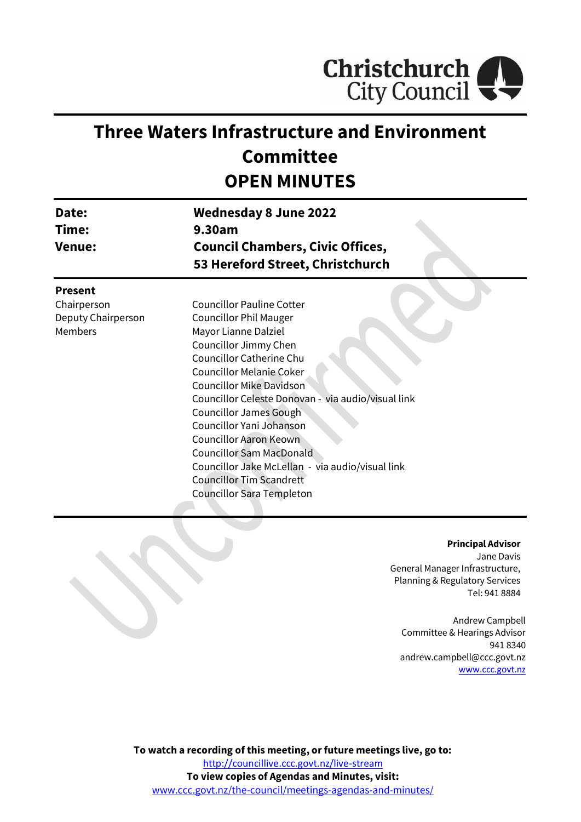

# **Three Waters Infrastructure and Environment Committee OPEN MINUTES**

| Date:<br>Time:                                                 | <b>Wednesday 8 June 2022</b><br>9.30am                                                                                                                                                                                                                                                                                                                                                                                                                                                                                          |  |  |
|----------------------------------------------------------------|---------------------------------------------------------------------------------------------------------------------------------------------------------------------------------------------------------------------------------------------------------------------------------------------------------------------------------------------------------------------------------------------------------------------------------------------------------------------------------------------------------------------------------|--|--|
| <b>Venue:</b>                                                  | <b>Council Chambers, Civic Offices,</b><br>53 Hereford Street, Christchurch                                                                                                                                                                                                                                                                                                                                                                                                                                                     |  |  |
| <b>Present</b><br>Chairperson<br>Deputy Chairperson<br>Members | <b>Councillor Pauline Cotter</b><br><b>Councillor Phil Mauger</b><br>Mayor Lianne Dalziel<br>Councillor Jimmy Chen<br>Councillor Catherine Chu<br><b>Councillor Melanie Coker</b><br><b>Councillor Mike Davidson</b><br>Councillor Celeste Donovan - via audio/visual link<br>Councillor James Gough<br>Councillor Yani Johanson<br><b>Councillor Aaron Keown</b><br><b>Councillor Sam MacDonald</b><br>Councillor Jake McLellan - via audio/visual link<br><b>Councillor Tim Scandrett</b><br><b>Councillor Sara Templeton</b> |  |  |

#### **Principal Advisor**

Jane Davis General Manager Infrastructure, Planning & Regulatory Services Tel: 941 8884

Andrew Campbell Committee & Hearings Advisor 941 8340 andrew.campbell@ccc.govt.nz [www.ccc.govt.nz](http://www.ccc.govt.nz/)

**To watch a recording of this meeting, or future meetings live, go to:** <http://councillive.ccc.govt.nz/live-stream> **To view copies of Agendas and Minutes, visit:** [www.ccc.govt.nz/the-council/meetings-agendas-and-minutes/](https://www.ccc.govt.nz/the-council/meetings-agendas-and-minutes/)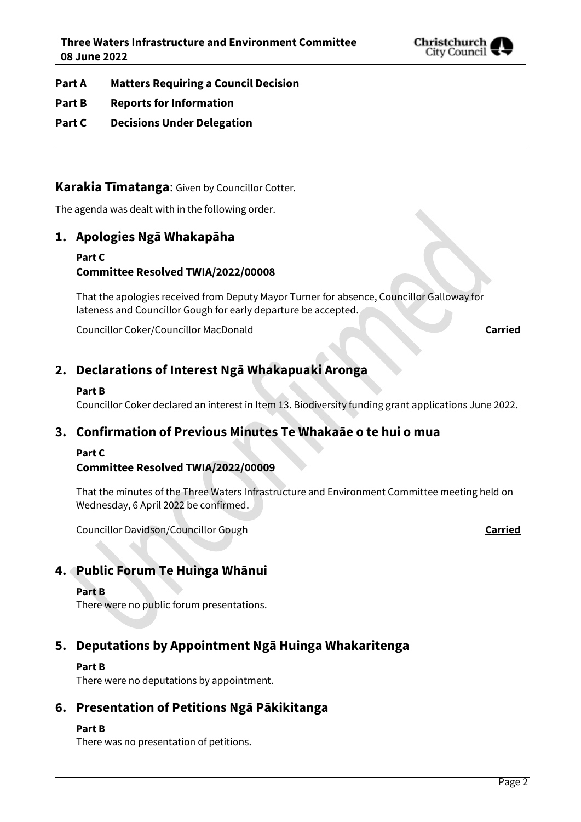

- **Part A Matters Requiring a Council Decision**
- **Part B Reports for Information**
- **Part C Decisions Under Delegation**

# **Karakia Tīmatanga**: Given by Councillor Cotter.

The agenda was dealt with in the following order.

# **1. Apologies Ngā Whakapāha**

#### **Part C Committee Resolved TWIA/2022/00008**

That the apologies received from Deputy Mayor Turner for absence, Councillor Galloway for lateness and Councillor Gough for early departure be accepted.

Councillor Coker/Councillor MacDonald **Carried**

# **2. Declarations of Interest Ngā Whakapuaki Aronga**

#### **Part B**

Councillor Coker declared an interest in Item 13. Biodiversity funding grant applications June 2022.

# **3. Confirmation of Previous Minutes Te Whakaāe o te hui o mua**

#### **Part C**

#### **Committee Resolved TWIA/2022/00009**

That the minutes of the Three Waters Infrastructure and Environment Committee meeting held on Wednesday, 6 April 2022 be confirmed.

Councillor Davidson/Councillor Gough **Carried**

# **4. Public Forum Te Huinga Whānui**

#### **Part B**

There were no public forum presentations.

# **5. Deputations by Appointment Ngā Huinga Whakaritenga**

#### **Part B**

There were no deputations by appointment.

# **6. Presentation of Petitions Ngā Pākikitanga**

#### **Part B**

There was no presentation of petitions.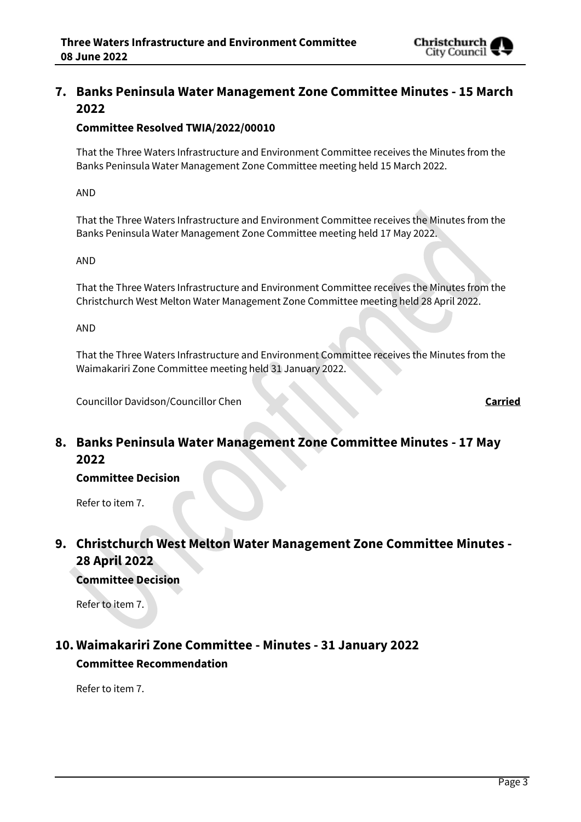

# **7. Banks Peninsula Water Management Zone Committee Minutes - 15 March 2022**

#### **Committee Resolved TWIA/2022/00010**

That the Three Waters Infrastructure and Environment Committee receives the Minutes from the Banks Peninsula Water Management Zone Committee meeting held 15 March 2022.

AND

That the Three Waters Infrastructure and Environment Committee receives the Minutes from the Banks Peninsula Water Management Zone Committee meeting held 17 May 2022.

#### AND

That the Three Waters Infrastructure and Environment Committee receives the Minutes from the Christchurch West Melton Water Management Zone Committee meeting held 28 April 2022.

AND

That the Three Waters Infrastructure and Environment Committee receives the Minutes from the Waimakariri Zone Committee meeting held 31 January 2022.

Councillor Davidson/Councillor Chen **Carried**

# **8. Banks Peninsula Water Management Zone Committee Minutes - 17 May 2022**

#### **Committee Decision**

Refer to item 7.

**9. Christchurch West Melton Water Management Zone Committee Minutes - 28 April 2022**

# **Committee Decision**

Refer to item 7.

# **10. Waimakariri Zone Committee - Minutes - 31 January 2022 Committee Recommendation**

Refer to item 7.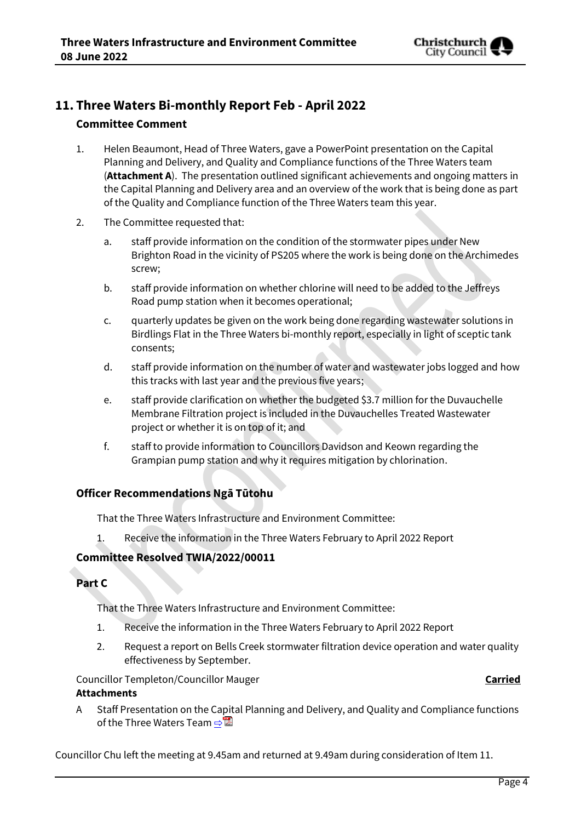

# **11. Three Waters Bi-monthly Report Feb - April 2022**

#### **Committee Comment**

- 1. Helen Beaumont, Head of Three Waters, gave a PowerPoint presentation on the Capital Planning and Delivery, and Quality and Compliance functions of the Three Waters team (**Attachment A**). The presentation outlined significant achievements and ongoing matters in the Capital Planning and Delivery area and an overview of the work that is being done as part of the Quality and Compliance function of the Three Waters team this year.
- 2. The Committee requested that:
	- a. staff provide information on the condition of the stormwater pipes under New Brighton Road in the vicinity of PS205 where the work is being done on the Archimedes screw;
	- b. staff provide information on whether chlorine will need to be added to the Jeffreys Road pump station when it becomes operational;
	- c. quarterly updates be given on the work being done regarding wastewater solutions in Birdlings Flat in the Three Waters bi-monthly report, especially in light of sceptic tank consents;
	- d. staff provide information on the number of water and wastewater jobs logged and how this tracks with last year and the previous five years;
	- e. staff provide clarification on whether the budgeted \$3.7 million for the Duvauchelle Membrane Filtration project is included in the Duvauchelles Treated Wastewater project or whether it is on top of it; and
	- f. staff to provide information to Councillors Davidson and Keown regarding the Grampian pump station and why it requires mitigation by chlorination.

#### **Officer Recommendations Ngā Tūtohu**

That the Three Waters Infrastructure and Environment Committee:

1. Receive the information in the Three Waters February to April 2022 Report

#### **Committee Resolved TWIA/2022/00011**

#### **Part C**

That the Three Waters Infrastructure and Environment Committee:

- 1. Receive the information in the Three Waters February to April 2022 Report
- 2. Request a report on Bells Creek stormwater filtration device operation and water quality effectiveness by September.

Councillor Templeton/Councillor Mauger **Carried**

#### **Attachments**

A Staff Presentation on the Capital Planning and Delivery, and Quality and Compliance functions of the Three Waters Team  $\Rightarrow \blacksquare$ 

Councillor Chu left the meeting at 9.45am and returned at 9.49am during consideration of Item 11.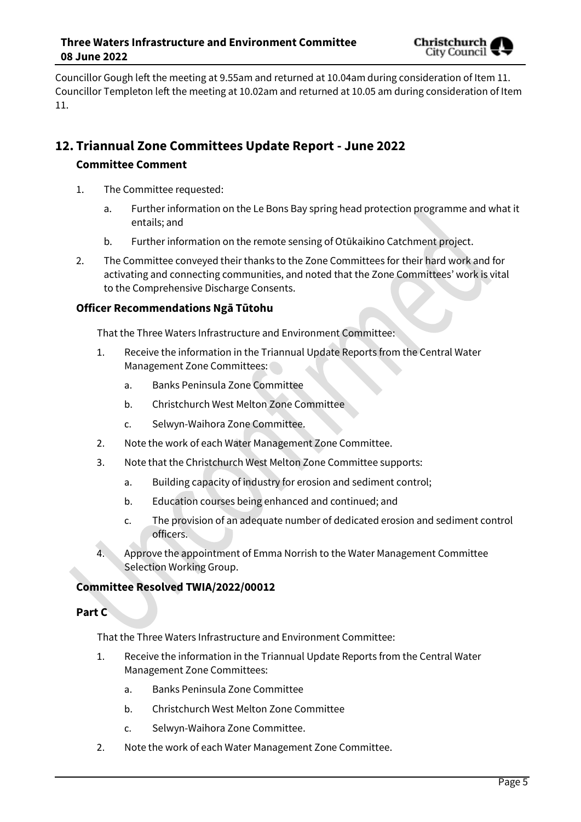

Councillor Gough left the meeting at 9.55am and returned at 10.04am during consideration of Item 11. Councillor Templeton left the meeting at 10.02am and returned at 10.05 am during consideration of Item 11.

# **12. Triannual Zone Committees Update Report - June 2022**

#### **Committee Comment**

- 1. The Committee requested:
	- a. Further information on the Le Bons Bay spring head protection programme and what it entails; and
	- b. Further information on the remote sensing of Otūkaikino Catchment project.
- 2. The Committee conveyed their thanks to the Zone Committees for their hard work and for activating and connecting communities, and noted that the Zone Committees' work is vital to the Comprehensive Discharge Consents.

#### **Officer Recommendations Ngā Tūtohu**

That the Three Waters Infrastructure and Environment Committee:

- 1. Receive the information in the Triannual Update Reports from the Central Water Management Zone Committees:
	- a. Banks Peninsula Zone Committee
	- b. Christchurch West Melton Zone Committee
	- c. Selwyn-Waihora Zone Committee.
- 2. Note the work of each Water Management Zone Committee.
- 3. Note that the Christchurch West Melton Zone Committee supports:
	- a. Building capacity of industry for erosion and sediment control;
	- b. Education courses being enhanced and continued; and
	- c. The provision of an adequate number of dedicated erosion and sediment control officers.
- 4. Approve the appointment of Emma Norrish to the Water Management Committee Selection Working Group.

#### **Committee Resolved TWIA/2022/00012**

#### **Part C**

That the Three Waters Infrastructure and Environment Committee:

- 1. Receive the information in the Triannual Update Reports from the Central Water Management Zone Committees:
	- a. Banks Peninsula Zone Committee
	- b. Christchurch West Melton Zone Committee
	- c. Selwyn-Waihora Zone Committee.
- 2. Note the work of each Water Management Zone Committee.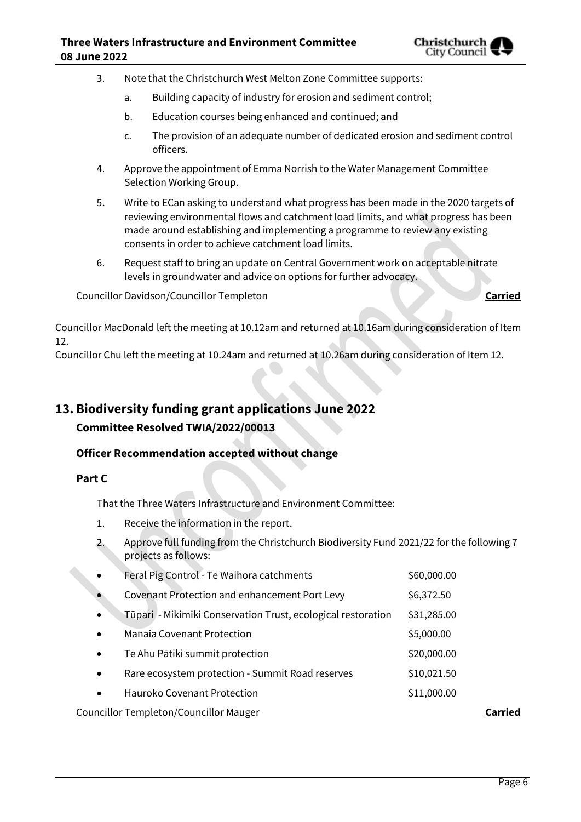

- 3. Note that the Christchurch West Melton Zone Committee supports:
	- a. Building capacity of industry for erosion and sediment control;
	- b. Education courses being enhanced and continued; and
	- c. The provision of an adequate number of dedicated erosion and sediment control officers.
- 4. Approve the appointment of Emma Norrish to the Water Management Committee Selection Working Group.
- 5. Write to ECan asking to understand what progress has been made in the 2020 targets of reviewing environmental flows and catchment load limits, and what progress has been made around establishing and implementing a programme to review any existing consents in order to achieve catchment load limits.
- 6. Request staff to bring an update on Central Government work on acceptable nitrate levels in groundwater and advice on options for further advocacy.

Councillor Davidson/Councillor Templeton **Carried**

Councillor MacDonald left the meeting at 10.12am and returned at 10.16am during consideration of Item 12.

Councillor Chu left the meeting at 10.24am and returned at 10.26am during consideration of Item 12.

# **13. Biodiversity funding grant applications June 2022**

### **Committee Resolved TWIA/2022/00013**

#### **Officer Recommendation accepted without change**

#### **Part C**

That the Three Waters Infrastructure and Environment Committee:

- 1. Receive the information in the report.
- 2. Approve full funding from the Christchurch Biodiversity Fund 2021/22 for the following 7 projects as follows:

| <b>Councillor Templeton/Councillor Mauger</b> |                                                              |             |  |
|-----------------------------------------------|--------------------------------------------------------------|-------------|--|
| $\bullet$                                     | Hauroko Covenant Protection                                  | \$11,000.00 |  |
| $\bullet$                                     | Rare ecosystem protection - Summit Road reserves             | \$10,021.50 |  |
| $\bullet$                                     | Te Ahu Pātiki summit protection                              | \$20,000.00 |  |
| $\bullet$                                     | <b>Manaia Covenant Protection</b>                            | \$5,000.00  |  |
| $\bullet$                                     | Tūpari - Mikimiki Conservation Trust, ecological restoration | \$31,285.00 |  |
|                                               | Covenant Protection and enhancement Port Levy                | \$6,372.50  |  |
| $\bullet$                                     | Feral Pig Control - Te Waihora catchments                    | \$60,000.00 |  |